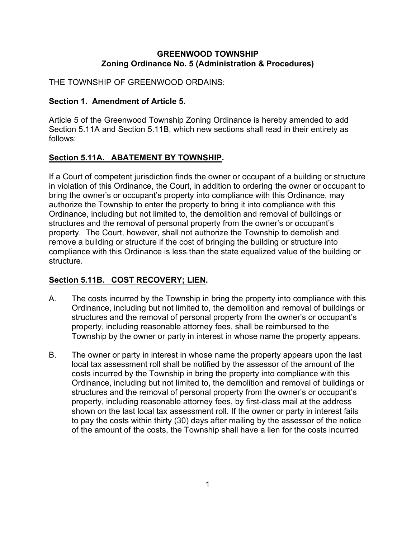### **GREENWOOD TOWNSHIP Zoning Ordinance No. 5 (Administration & Procedures)**

THE TOWNSHIP OF GREENWOOD ORDAINS:

### **Section 1. Amendment of Article 5.**

Article 5 of the Greenwood Township Zoning Ordinance is hereby amended to add Section 5.11A and Section 5.11B, which new sections shall read in their entirety as follows:

## **Section 5.11A. ABATEMENT BY TOWNSHIP.**

If a Court of competent jurisdiction finds the owner or occupant of a building or structure in violation of this Ordinance, the Court, in addition to ordering the owner or occupant to bring the owner's or occupant's property into compliance with this Ordinance, may authorize the Township to enter the property to bring it into compliance with this Ordinance, including but not limited to, the demolition and removal of buildings or structures and the removal of personal property from the owner's or occupant's property. The Court, however, shall not authorize the Township to demolish and remove a building or structure if the cost of bringing the building or structure into compliance with this Ordinance is less than the state equalized value of the building or structure.

# **Section 5.11B. COST RECOVERY; LIEN.**

- A. The costs incurred by the Township in bring the property into compliance with this Ordinance, including but not limited to, the demolition and removal of buildings or structures and the removal of personal property from the owner's or occupant's property, including reasonable attorney fees, shall be reimbursed to the Township by the owner or party in interest in whose name the property appears.
- B. The owner or party in interest in whose name the property appears upon the last local tax assessment roll shall be notified by the assessor of the amount of the costs incurred by the Township in bring the property into compliance with this Ordinance, including but not limited to, the demolition and removal of buildings or structures and the removal of personal property from the owner's or occupant's property, including reasonable attorney fees, by first-class mail at the address shown on the last local tax assessment roll. If the owner or party in interest fails to pay the costs within thirty (30) days after mailing by the assessor of the notice of the amount of the costs, the Township shall have a lien for the costs incurred